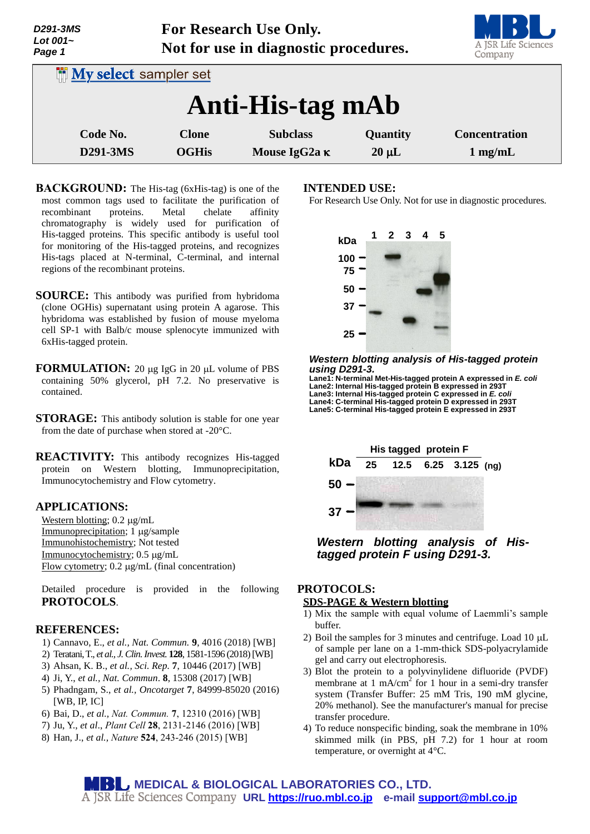| <i>UZY 1-31VI</i> 3<br>Lot $001-$<br>Page 1 | FOI RESEARCH USE UHIY.<br>Not for use in diagnostic procedures. |                                         |                        | A JSR Life Sciences<br>Company    |
|---------------------------------------------|-----------------------------------------------------------------|-----------------------------------------|------------------------|-----------------------------------|
| <b>In My select sampler set</b>             |                                                                 |                                         |                        |                                   |
| Anti-His-tag mAb                            |                                                                 |                                         |                        |                                   |
| Code No.<br>D291-3MS                        | <b>Clone</b><br><b>OGHis</b>                                    | <b>Subclass</b><br>Mouse IgG2a $\kappa$ | Quantity<br>$20 \mu L$ | <b>Concentration</b><br>$1$ mg/mL |

**For Research Use Only.**

- **BACKGROUND:** The His-tag (6xHis-tag) is one of the most common tags used to facilitate the purification of<br>recombinant proteins. Metal chelate affinity recombinant proteins. Metal chelate affinity chromatography is widely used for purification of His-tagged proteins. This specific antibody is useful tool for monitoring of the His-tagged proteins, and recognizes His-tags placed at N-terminal, C-terminal, and internal regions of the recombinant proteins.
- **SOURCE:** This antibody was purified from hybridoma (clone OGHis) supernatant using protein A agarose. This hybridoma was established by fusion of mouse myeloma cell SP-1 with Balb/c mouse splenocyte immunized with 6xHis-tagged protein.
- **FORMULATION:** 20 µg IgG in 20 µL volume of PBS containing 50% glycerol, pH 7.2. No preservative is contained.
- **STORAGE:** This antibody solution is stable for one year from the date of purchase when stored at -20°C.
- **REACTIVITY:** This antibody recognizes His-tagged protein on Western blotting, Immunoprecipitation, Immunocytochemistry and Flow cytometry.

### **APPLICATIONS:**

*D291-3MS*

Western blotting;  $0.2 \mu g/mL$ Immunoprecipitation; 1 µg/sample Immunohistochemistry; Not tested Immunocytochemistry; 0.5 µg/mL Flow cytometry;  $0.2 \mu g/mL$  (final concentration)

Detailed procedure is provided in the following **PROTOCOLS**.

### **REFERENCES:**

- 1) Cannavo, E., *et al., Nat. Commun.* **9**, 4016 (2018) [WB]
- 2) Teratani, T., *et al., J. Clin. Invest.* **128**, 1581-1596 (2018) [WB]
- 3) Ahsan, K. B., *et al., Sci. Rep.* **7**, 10446 (2017) [WB]
- 4) Ji, Y., *et al., Nat. Commun*. **8**, 15308 (2017) [WB]
- 5) Phadngam, S., *et al., Oncotarget* **7**, 84999-85020 (2016) [WB, IP, IC]
- 6) Bai, D., *et al., Nat. Commun.* **7**, 12310 (2016) [WB]
- 7) Ju, Y., *et al*., *Plant Cell* **28**, 2131-2146 (2016) [WB]
- 8) Han, J., *et al., Nature* **524**, 243-246 (2015) [WB]

#### **INTENDED USE:**

For Research Use Only. Not for use in diagnostic procedures.



#### *Western blotting analysis of His-tagged protein using D291-3.*

**Lane1: N-terminal Met-His-tagged protein A expressed in** *E. coli* Lane2: Internal His-tagged protein B expressed in 293T<br>Lane3: Internal His-tagged protein C expressed in *E. coli* **Lane4: C-terminal His-tagged protein D expressed in 293T Lane5: C-terminal His-tagged protein E expressed in 293T**



*Western blotting analysis of Histagged protein F using D291-3.*

#### **PROTOCOLS: SDS-PAGE & Western blotting**

- 1) Mix the sample with equal volume of Laemmli's sample buffer.
- 2) Boil the samples for 3 minutes and centrifuge. Load  $10 \mu L$ of sample per lane on a 1-mm-thick SDS-polyacrylamide gel and carry out electrophoresis.
- 3) Blot the protein to a polyvinylidene difluoride (PVDF) membrane at 1 mA/cm<sup>2</sup> for 1 hour in a semi-dry transfer system (Transfer Buffer: 25 mM Tris, 190 mM glycine, 20% methanol). See the manufacturer's manual for precise transfer procedure.
- 4) To reduce nonspecific binding, soak the membrane in 10% skimmed milk (in PBS, pH 7.2) for 1 hour at room temperature, or overnight at 4°C.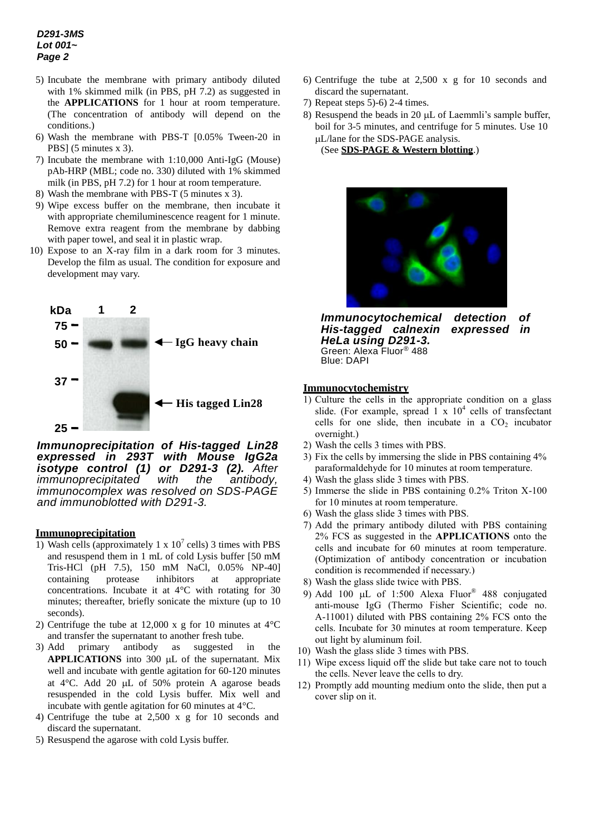# *D291-3MS Lot 001~ Page 2*

- 5) Incubate the membrane with primary antibody diluted with 1% skimmed milk (in PBS, pH 7.2) as suggested in the **APPLICATIONS** for 1 hour at room temperature. (The concentration of antibody will depend on the conditions.)
- 6) Wash the membrane with PBS-T [0.05% Tween-20 in PBS] (5 minutes x 3).
- 7) Incubate the membrane with 1:10,000 Anti-IgG (Mouse) pAb-HRP (MBL; code no. 330) diluted with 1% skimmed milk (in PBS, pH 7.2) for 1 hour at room temperature.
- 8) Wash the membrane with PBS-T (5 minutes x 3).
- 9) Wipe excess buffer on the membrane, then incubate it with appropriate chemiluminescence reagent for 1 minute. Remove extra reagent from the membrane by dabbing with paper towel, and seal it in plastic wrap.
- 10) Expose to an X-ray film in a dark room for 3 minutes. Develop the film as usual. The condition for exposure and development may vary.



*Immunoprecipitation of His-tagged Lin28 expressed in 293T with Mouse IgG2a isotype control (1) or D291-3 (2). After immunoprecipitated with the antibody, immunocomplex was resolved on SDS-PAGE and immunoblotted with D291-3.* 

# **Immunoprecipitation**

- 1) Wash cells (approximately 1 x  $10^7$  cells) 3 times with PBS and resuspend them in 1 mL of cold Lysis buffer [50 mM Tris-HCl (pH 7.5), 150 mM NaCl, 0.05% NP-40] containing protease inhibitors at appropriate concentrations. Incubate it at 4°C with rotating for 30 minutes; thereafter, briefly sonicate the mixture (up to 10 seconds).
- 2) Centrifuge the tube at 12,000 x g for 10 minutes at  $4^{\circ}$ C and transfer the supernatant to another fresh tube.
- 3) Add primary antibody as suggested in the **APPLICATIONS** into 300 uL of the supernatant. Mix well and incubate with gentle agitation for 60-120 minutes at  $4^{\circ}$ C. Add 20 µL of 50% protein A agarose beads resuspended in the cold Lysis buffer. Mix well and incubate with gentle agitation for 60 minutes at 4°C.
- 4) Centrifuge the tube at 2,500 x g for 10 seconds and discard the supernatant.
- 5) Resuspend the agarose with cold Lysis buffer.
- 6) Centrifuge the tube at 2,500 x g for 10 seconds and discard the supernatant.
- 7) Repeat steps 5)-6) 2-4 times.
- 8) Resuspend the beads in 20  $\mu$ L of Laemmli's sample buffer, boil for 3-5 minutes, and centrifuge for 5 minutes. Use 10 L/lane for the SDS-PAGE analysis.

(See **SDS-PAGE & Western blotting**.)



*Immunocytochemical detection of His-tagged calnexin HeLa using D291-3.* Green: Alexa Fluor® 488 Blue: DAPI

# **Immunocytochemistry**

- 1) Culture the cells in the appropriate condition on a glass slide. (For example, spread  $1 \times 10^4$  cells of transfectant cells for one slide, then incubate in a  $CO<sub>2</sub>$  incubator overnight.)
- 2) Wash the cells 3 times with PBS.
- 3) Fix the cells by immersing the slide in PBS containing 4% paraformaldehyde for 10 minutes at room temperature.
- 4) Wash the glass slide 3 times with PBS.
- 5) Immerse the slide in PBS containing 0.2% Triton X-100 for 10 minutes at room temperature.
- 6) Wash the glass slide 3 times with PBS.
- 7) Add the primary antibody diluted with PBS containing 2% FCS as suggested in the **APPLICATIONS** onto the cells and incubate for 60 minutes at room temperature. (Optimization of antibody concentration or incubation condition is recommended if necessary.)
- 8) Wash the glass slide twice with PBS.
- 9) Add 100  $\mu$ L of 1:500 Alexa Fluor<sup>®</sup> 488 conjugated anti-mouse IgG (Thermo Fisher Scientific; code no. A-11001) diluted with PBS containing 2% FCS onto the cells. Incubate for 30 minutes at room temperature. Keep out light by aluminum foil.
- 10) Wash the glass slide 3 times with PBS.
- 11) Wipe excess liquid off the slide but take care not to touch the cells. Never leave the cells to dry.
- 12) Promptly add mounting medium onto the slide, then put a cover slip on it.